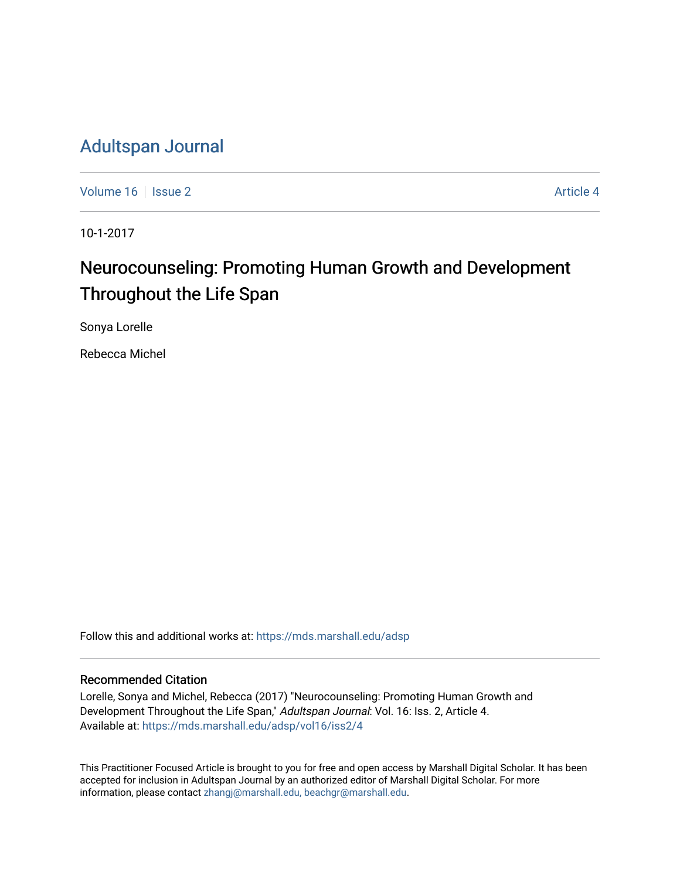# [Adultspan Journal](https://mds.marshall.edu/adsp)

[Volume 16](https://mds.marshall.edu/adsp/vol16) September 2 [Article 4](https://mds.marshall.edu/adsp/vol16/iss2/4) Article 4

10-1-2017

# Neurocounseling: Promoting Human Growth and Development Throughout the Life Span

Sonya Lorelle

Rebecca Michel

Follow this and additional works at: [https://mds.marshall.edu/adsp](https://mds.marshall.edu/adsp?utm_source=mds.marshall.edu%2Fadsp%2Fvol16%2Fiss2%2F4&utm_medium=PDF&utm_campaign=PDFCoverPages) 

#### Recommended Citation

Lorelle, Sonya and Michel, Rebecca (2017) "Neurocounseling: Promoting Human Growth and Development Throughout the Life Span," Adultspan Journal: Vol. 16: Iss. 2, Article 4. Available at: [https://mds.marshall.edu/adsp/vol16/iss2/4](https://mds.marshall.edu/adsp/vol16/iss2/4?utm_source=mds.marshall.edu%2Fadsp%2Fvol16%2Fiss2%2F4&utm_medium=PDF&utm_campaign=PDFCoverPages) 

This Practitioner Focused Article is brought to you for free and open access by Marshall Digital Scholar. It has been accepted for inclusion in Adultspan Journal by an authorized editor of Marshall Digital Scholar. For more information, please contact [zhangj@marshall.edu, beachgr@marshall.edu](mailto:zhangj@marshall.edu,%20beachgr@marshall.edu).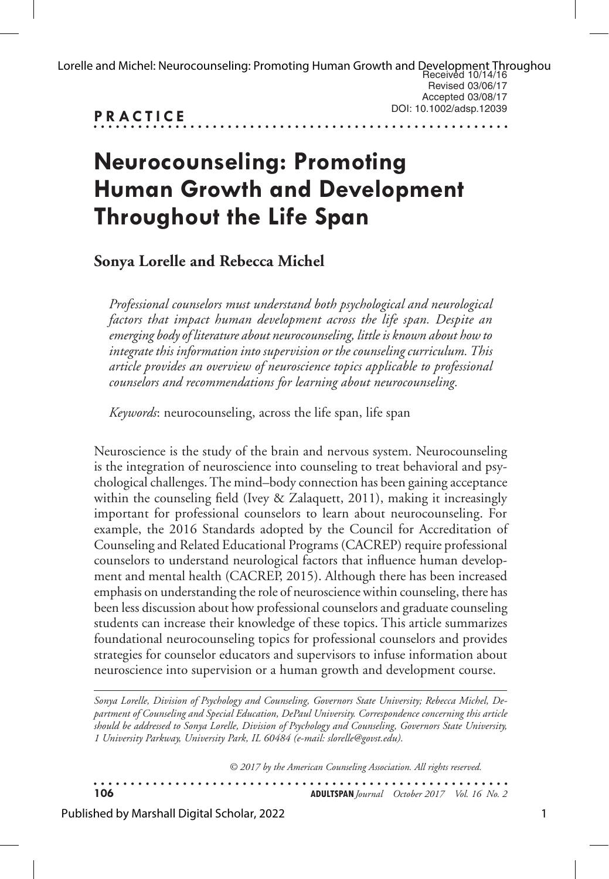| Lorelle and Michel: Neurocounseling: Promoting Human Growth and Development Throughou |
|---------------------------------------------------------------------------------------|
| Revised 03/06/17                                                                      |
| Accepted 03/08/17                                                                     |
| DOI: 10.1002/adsp.12039                                                               |
|                                                                                       |

# **Neurocounseling: Promoting Human Growth and Development Throughout the Life Span**

**Sonya Lorelle and Rebecca Michel**

*Professional counselors must understand both psychological and neurological factors that impact human development across the life span. Despite an emerging body of literature about neurocounseling, little is known about how to integrate this information into supervision or the counseling curriculum. This article provides an overview of neuroscience topics applicable to professional counselors and recommendations for learning about neurocounseling.* 

*Keywords*: neurocounseling, across the life span, life span

Neuroscience is the study of the brain and nervous system. Neurocounseling is the integration of neuroscience into counseling to treat behavioral and psychological challenges. The mind–body connection has been gaining acceptance within the counseling field (Ivey & Zalaquett, 2011), making it increasingly important for professional counselors to learn about neurocounseling. For example, the 2016 Standards adopted by the Council for Accreditation of Counseling and Related Educational Programs (CACREP) require professional counselors to understand neurological factors that influence human development and mental health (CACREP, 2015). Although there has been increased emphasis on understanding the role of neuroscience within counseling, there has been less discussion about how professional counselors and graduate counseling students can increase their knowledge of these topics. This article summarizes foundational neurocounseling topics for professional counselors and provides strategies for counselor educators and supervisors to infuse information about neuroscience into supervision or a human growth and development course.

*Sonya Lorelle, Division of Psychology and Counseling, Governors State University; Rebecca Michel, Department of Counseling and Special Education, DePaul University. Correspondence concerning this article should be addressed to Sonya Lorelle, Division of Psychology and Counseling, Governors State University, 1 University Parkway, University Park, IL 60484 (e-mail: slorelle@govst.edu).* 

*© 2017 by the American Counseling Association. All rights reserved.*

**106 ADULTSPAN***Journal October 2017 Vol. 16 No. 2*

Published by Marshall Digital Scholar, 2022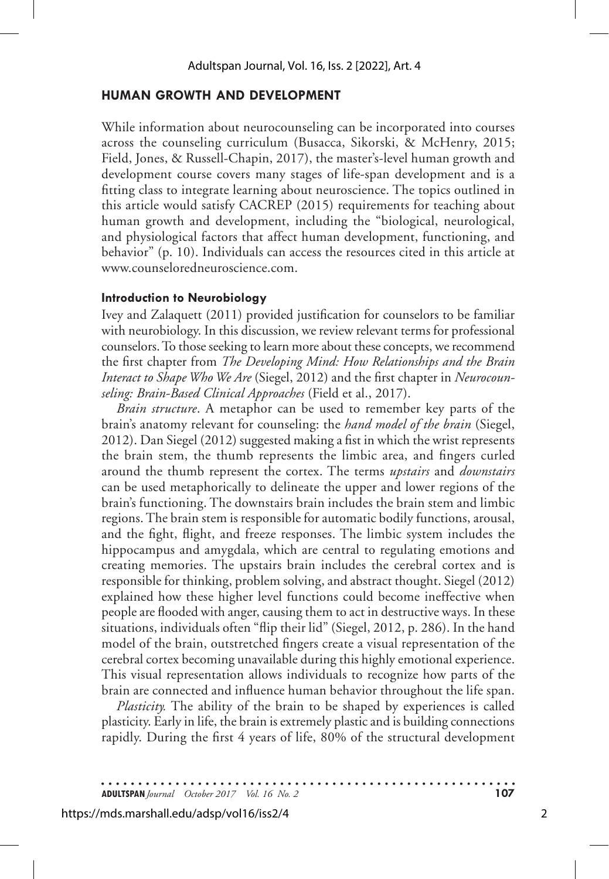## **HUMAN GROWTH AND DEVELOPMENT**

While information about neurocounseling can be incorporated into courses across the counseling curriculum (Busacca, Sikorski, & McHenry, 2015; Field, Jones, & Russell-Chapin, 2017), the master's-level human growth and development course covers many stages of life-span development and is a fitting class to integrate learning about neuroscience. The topics outlined in this article would satisfy CACREP (2015) requirements for teaching about human growth and development, including the "biological, neurological, and physiological factors that affect human development, functioning, and behavior" (p. 10). Individuals can access the resources cited in this article at www.counseloredneuroscience.com.

#### **Introduction to Neurobiology**

Ivey and Zalaquett (2011) provided justification for counselors to be familiar with neurobiology. In this discussion, we review relevant terms for professional counselors. To those seeking to learn more about these concepts, we recommend the first chapter from *The Developing Mind: How Relationships and the Brain Interact to Shape Who We Are* (Siegel, 2012) and the first chapter in *Neurocounseling: Brain-Based Clinical Approaches* (Field et al., 2017).

*Brain structure*. A metaphor can be used to remember key parts of the brain's anatomy relevant for counseling: the *hand model of the brain* (Siegel, 2012). Dan Siegel (2012) suggested making a fist in which the wrist represents the brain stem, the thumb represents the limbic area, and fingers curled around the thumb represent the cortex. The terms *upstairs* and *downstairs* can be used metaphorically to delineate the upper and lower regions of the brain's functioning. The downstairs brain includes the brain stem and limbic regions. The brain stem is responsible for automatic bodily functions, arousal, and the fight, flight, and freeze responses. The limbic system includes the hippocampus and amygdala, which are central to regulating emotions and creating memories. The upstairs brain includes the cerebral cortex and is responsible for thinking, problem solving, and abstract thought. Siegel (2012) explained how these higher level functions could become ineffective when people are flooded with anger, causing them to act in destructive ways. In these situations, individuals often "flip their lid" (Siegel, 2012, p. 286). In the hand model of the brain, outstretched fingers create a visual representation of the cerebral cortex becoming unavailable during this highly emotional experience. This visual representation allows individuals to recognize how parts of the brain are connected and influence human behavior throughout the life span.

*Plasticity*. The ability of the brain to be shaped by experiences is called plasticity. Early in life, the brain is extremely plastic and is building connections rapidly. During the first 4 years of life, 80% of the structural development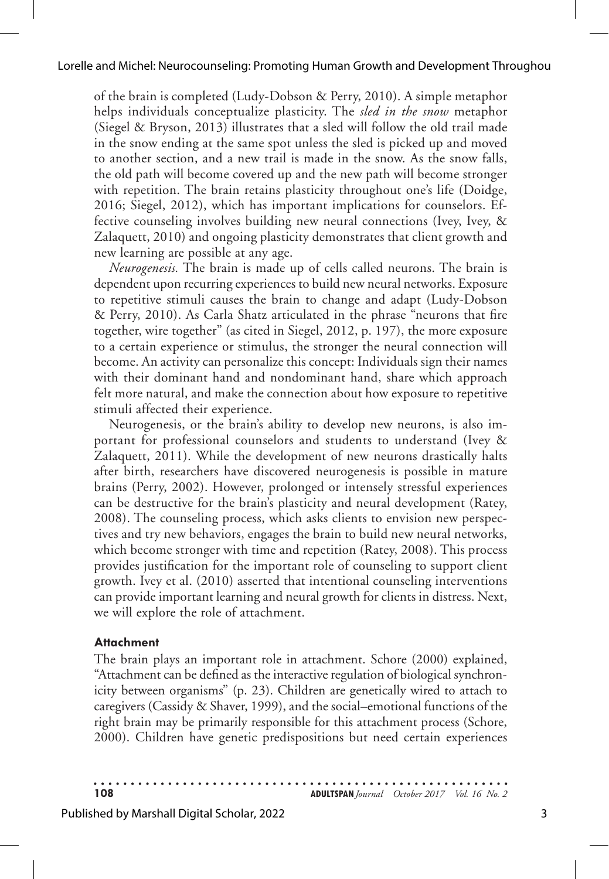of the brain is completed (Ludy-Dobson & Perry, 2010). A simple metaphor helps individuals conceptualize plasticity. The *sled in the snow* metaphor (Siegel & Bryson, 2013) illustrates that a sled will follow the old trail made in the snow ending at the same spot unless the sled is picked up and moved to another section, and a new trail is made in the snow. As the snow falls, the old path will become covered up and the new path will become stronger with repetition. The brain retains plasticity throughout one's life (Doidge, 2016; Siegel, 2012), which has important implications for counselors. Effective counseling involves building new neural connections (Ivey, Ivey, & Zalaquett, 2010) and ongoing plasticity demonstrates that client growth and new learning are possible at any age.

*Neurogenesis.* The brain is made up of cells called neurons. The brain is dependent upon recurring experiences to build new neural networks. Exposure to repetitive stimuli causes the brain to change and adapt (Ludy-Dobson & Perry, 2010). As Carla Shatz articulated in the phrase "neurons that fire together, wire together" (as cited in Siegel, 2012, p. 197), the more exposure to a certain experience or stimulus, the stronger the neural connection will become. An activity can personalize this concept: Individuals sign their names with their dominant hand and nondominant hand, share which approach felt more natural, and make the connection about how exposure to repetitive stimuli affected their experience.

Neurogenesis, or the brain's ability to develop new neurons, is also important for professional counselors and students to understand (Ivey & Zalaquett, 2011). While the development of new neurons drastically halts after birth, researchers have discovered neurogenesis is possible in mature brains (Perry, 2002). However, prolonged or intensely stressful experiences can be destructive for the brain's plasticity and neural development (Ratey, 2008). The counseling process, which asks clients to envision new perspectives and try new behaviors, engages the brain to build new neural networks, which become stronger with time and repetition (Ratey, 2008). This process provides justification for the important role of counseling to support client growth. Ivey et al. (2010) asserted that intentional counseling interventions can provide important learning and neural growth for clients in distress. Next, we will explore the role of attachment.

### **Attachment**

The brain plays an important role in attachment. Schore (2000) explained, "Attachment can be defined as the interactive regulation of biological synchronicity between organisms" (p. 23). Children are genetically wired to attach to caregivers (Cassidy & Shaver, 1999), and the social–emotional functions of the right brain may be primarily responsible for this attachment process (Schore, 2000). Children have genetic predispositions but need certain experiences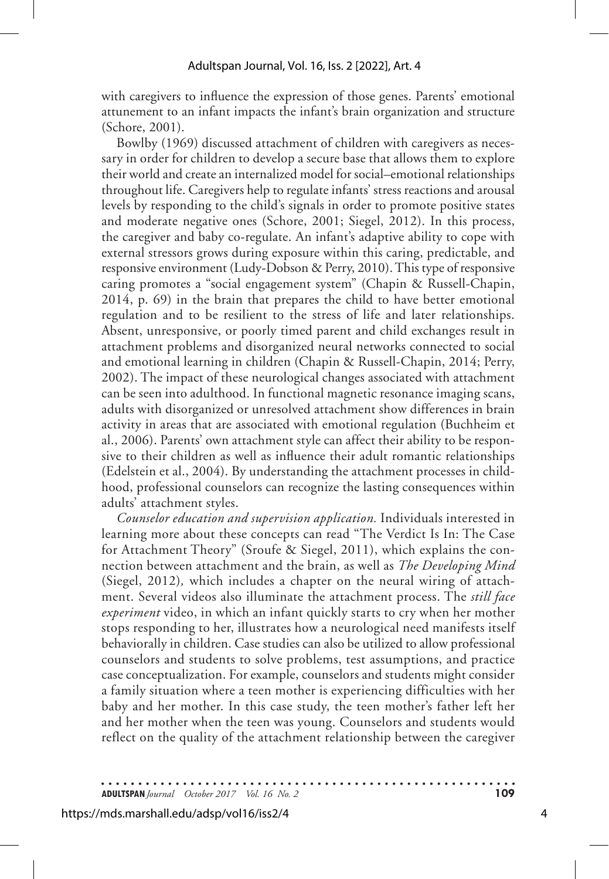with caregivers to influence the expression of those genes. Parents' emotional attunement to an infant impacts the infant's brain organization and structure (Schore, 2001).

Bowlby (1969) discussed attachment of children with caregivers as necessary in order for children to develop a secure base that allows them to explore their world and create an internalized model for social–emotional relationships throughout life. Caregivers help to regulate infants' stress reactions and arousal levels by responding to the child's signals in order to promote positive states and moderate negative ones (Schore, 2001; Siegel, 2012). In this process, the caregiver and baby co-regulate. An infant's adaptive ability to cope with external stressors grows during exposure within this caring, predictable, and responsive environment (Ludy-Dobson & Perry, 2010). This type of responsive caring promotes a "social engagement system" (Chapin & Russell-Chapin, 2014, p. 69) in the brain that prepares the child to have better emotional regulation and to be resilient to the stress of life and later relationships. Absent, unresponsive, or poorly timed parent and child exchanges result in attachment problems and disorganized neural networks connected to social and emotional learning in children (Chapin & Russell-Chapin, 2014; Perry, 2002). The impact of these neurological changes associated with attachment can be seen into adulthood. In functional magnetic resonance imaging scans, adults with disorganized or unresolved attachment show differences in brain activity in areas that are associated with emotional regulation (Buchheim et al., 2006). Parents' own attachment style can affect their ability to be responsive to their children as well as influence their adult romantic relationships (Edelstein et al., 2004). By understanding the attachment processes in childhood, professional counselors can recognize the lasting consequences within adults' attachment styles.

*Counselor education and supervision application.* Individuals interested in learning more about these concepts can read "The Verdict Is In: The Case for Attachment Theory" (Sroufe & Siegel, 2011), which explains the connection between attachment and the brain, as well as *The Developing Mind* (Siegel, 2012)*,* which includes a chapter on the neural wiring of attachment. Several videos also illuminate the attachment process. The *still face experiment* video, in which an infant quickly starts to cry when her mother stops responding to her, illustrates how a neurological need manifests itself behaviorally in children. Case studies can also be utilized to allow professional counselors and students to solve problems, test assumptions, and practice case conceptualization. For example, counselors and students might consider a family situation where a teen mother is experiencing difficulties with her baby and her mother. In this case study, the teen mother's father left her and her mother when the teen was young. Counselors and students would reflect on the quality of the attachment relationship between the caregiver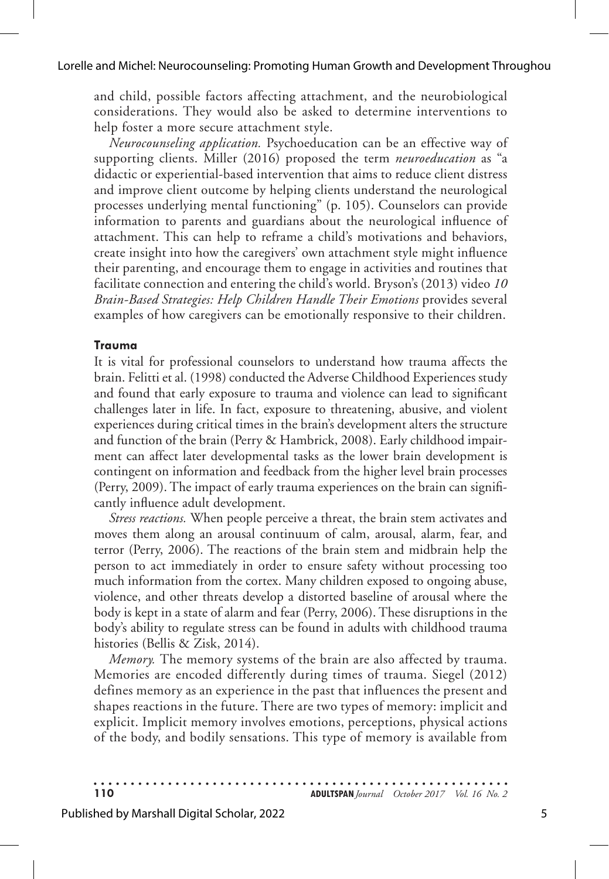and child, possible factors affecting attachment, and the neurobiological considerations. They would also be asked to determine interventions to help foster a more secure attachment style.

*Neurocounseling application.* Psychoeducation can be an effective way of supporting clients. Miller (2016) proposed the term *neuroeducation* as "a didactic or experiential-based intervention that aims to reduce client distress and improve client outcome by helping clients understand the neurological processes underlying mental functioning" (p. 105). Counselors can provide information to parents and guardians about the neurological influence of attachment. This can help to reframe a child's motivations and behaviors, create insight into how the caregivers' own attachment style might influence their parenting, and encourage them to engage in activities and routines that facilitate connection and entering the child's world. Bryson's (2013) video *10 Brain-Based Strategies: Help Children Handle Their Emotions* provides several examples of how caregivers can be emotionally responsive to their children.

#### **Trauma**

It is vital for professional counselors to understand how trauma affects the brain. Felitti et al. (1998) conducted the Adverse Childhood Experiences study and found that early exposure to trauma and violence can lead to significant challenges later in life. In fact, exposure to threatening, abusive, and violent experiences during critical times in the brain's development alters the structure and function of the brain (Perry & Hambrick, 2008). Early childhood impairment can affect later developmental tasks as the lower brain development is contingent on information and feedback from the higher level brain processes (Perry, 2009). The impact of early trauma experiences on the brain can significantly influence adult development.

*Stress reactions.* When people perceive a threat, the brain stem activates and moves them along an arousal continuum of calm, arousal, alarm, fear, and terror (Perry, 2006). The reactions of the brain stem and midbrain help the person to act immediately in order to ensure safety without processing too much information from the cortex. Many children exposed to ongoing abuse, violence, and other threats develop a distorted baseline of arousal where the body is kept in a state of alarm and fear (Perry, 2006). These disruptions in the body's ability to regulate stress can be found in adults with childhood trauma histories (Bellis & Zisk, 2014).

*Memory.* The memory systems of the brain are also affected by trauma. Memories are encoded differently during times of trauma. Siegel (2012) defines memory as an experience in the past that influences the present and shapes reactions in the future. There are two types of memory: implicit and explicit. Implicit memory involves emotions, perceptions, physical actions of the body, and bodily sensations. This type of memory is available from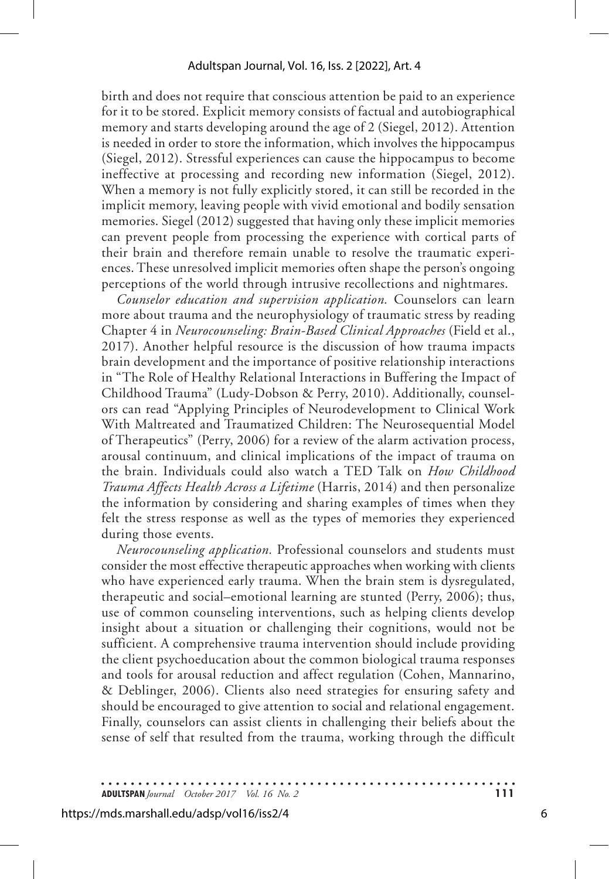birth and does not require that conscious attention be paid to an experience for it to be stored. Explicit memory consists of factual and autobiographical memory and starts developing around the age of 2 (Siegel, 2012). Attention is needed in order to store the information, which involves the hippocampus (Siegel, 2012). Stressful experiences can cause the hippocampus to become ineffective at processing and recording new information (Siegel, 2012). When a memory is not fully explicitly stored, it can still be recorded in the implicit memory, leaving people with vivid emotional and bodily sensation memories. Siegel (2012) suggested that having only these implicit memories can prevent people from processing the experience with cortical parts of their brain and therefore remain unable to resolve the traumatic experiences. These unresolved implicit memories often shape the person's ongoing perceptions of the world through intrusive recollections and nightmares.

*Counselor education and supervision application.* Counselors can learn more about trauma and the neurophysiology of traumatic stress by reading Chapter 4 in *Neurocounseling: Brain-Based Clinical Approaches* (Field et al., 2017). Another helpful resource is the discussion of how trauma impacts brain development and the importance of positive relationship interactions in "The Role of Healthy Relational Interactions in Buffering the Impact of Childhood Trauma" (Ludy-Dobson & Perry, 2010). Additionally, counselors can read "Applying Principles of Neurodevelopment to Clinical Work With Maltreated and Traumatized Children: The Neurosequential Model of Therapeutics" (Perry, 2006) for a review of the alarm activation process, arousal continuum, and clinical implications of the impact of trauma on the brain. Individuals could also watch a TED Talk on *How Childhood Trauma Affects Health Across a Lifetime* (Harris, 2014) and then personalize the information by considering and sharing examples of times when they felt the stress response as well as the types of memories they experienced during those events.

*Neurocounseling application.* Professional counselors and students must consider the most effective therapeutic approaches when working with clients who have experienced early trauma. When the brain stem is dysregulated, therapeutic and social–emotional learning are stunted (Perry, 2006); thus, use of common counseling interventions, such as helping clients develop insight about a situation or challenging their cognitions, would not be sufficient. A comprehensive trauma intervention should include providing the client psychoeducation about the common biological trauma responses and tools for arousal reduction and affect regulation (Cohen, Mannarino, & Deblinger, 2006). Clients also need strategies for ensuring safety and should be encouraged to give attention to social and relational engagement. Finally, counselors can assist clients in challenging their beliefs about the sense of self that resulted from the trauma, working through the difficult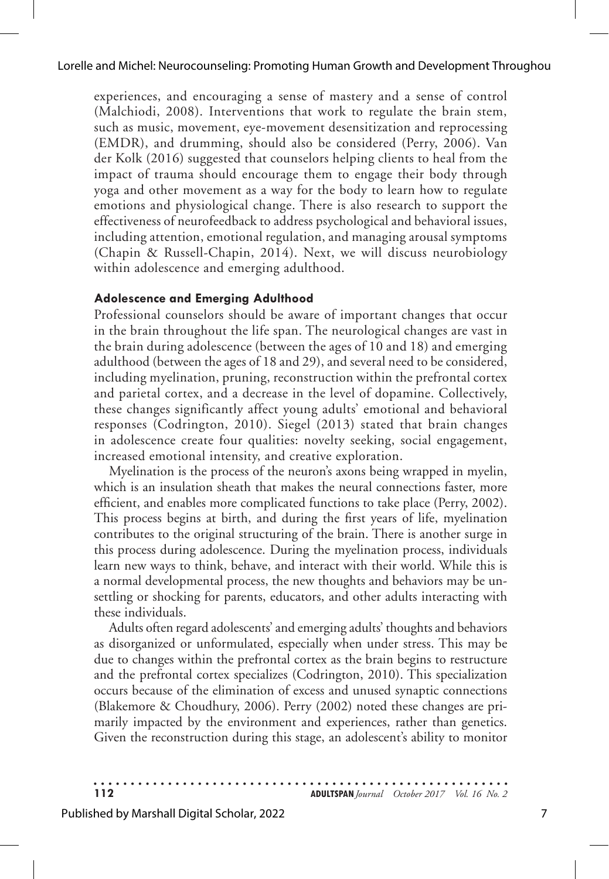experiences, and encouraging a sense of mastery and a sense of control (Malchiodi, 2008). Interventions that work to regulate the brain stem, such as music, movement, eye-movement desensitization and reprocessing (EMDR), and drumming, should also be considered (Perry, 2006). Van der Kolk (2016) suggested that counselors helping clients to heal from the impact of trauma should encourage them to engage their body through yoga and other movement as a way for the body to learn how to regulate emotions and physiological change. There is also research to support the effectiveness of neurofeedback to address psychological and behavioral issues, including attention, emotional regulation, and managing arousal symptoms (Chapin & Russell-Chapin, 2014). Next, we will discuss neurobiology within adolescence and emerging adulthood.

#### **Adolescence and Emerging Adulthood**

Professional counselors should be aware of important changes that occur in the brain throughout the life span. The neurological changes are vast in the brain during adolescence (between the ages of 10 and 18) and emerging adulthood (between the ages of 18 and 29), and several need to be considered, including myelination, pruning, reconstruction within the prefrontal cortex and parietal cortex, and a decrease in the level of dopamine. Collectively, these changes significantly affect young adults' emotional and behavioral responses (Codrington, 2010). Siegel (2013) stated that brain changes in adolescence create four qualities: novelty seeking, social engagement, increased emotional intensity, and creative exploration.

Myelination is the process of the neuron's axons being wrapped in myelin, which is an insulation sheath that makes the neural connections faster, more efficient, and enables more complicated functions to take place (Perry, 2002). This process begins at birth, and during the first years of life, myelination contributes to the original structuring of the brain. There is another surge in this process during adolescence. During the myelination process, individuals learn new ways to think, behave, and interact with their world. While this is a normal developmental process, the new thoughts and behaviors may be unsettling or shocking for parents, educators, and other adults interacting with these individuals.

Adults often regard adolescents' and emerging adults' thoughts and behaviors as disorganized or unformulated, especially when under stress. This may be due to changes within the prefrontal cortex as the brain begins to restructure and the prefrontal cortex specializes (Codrington, 2010). This specialization occurs because of the elimination of excess and unused synaptic connections (Blakemore & Choudhury, 2006). Perry (2002) noted these changes are primarily impacted by the environment and experiences, rather than genetics. Given the reconstruction during this stage, an adolescent's ability to monitor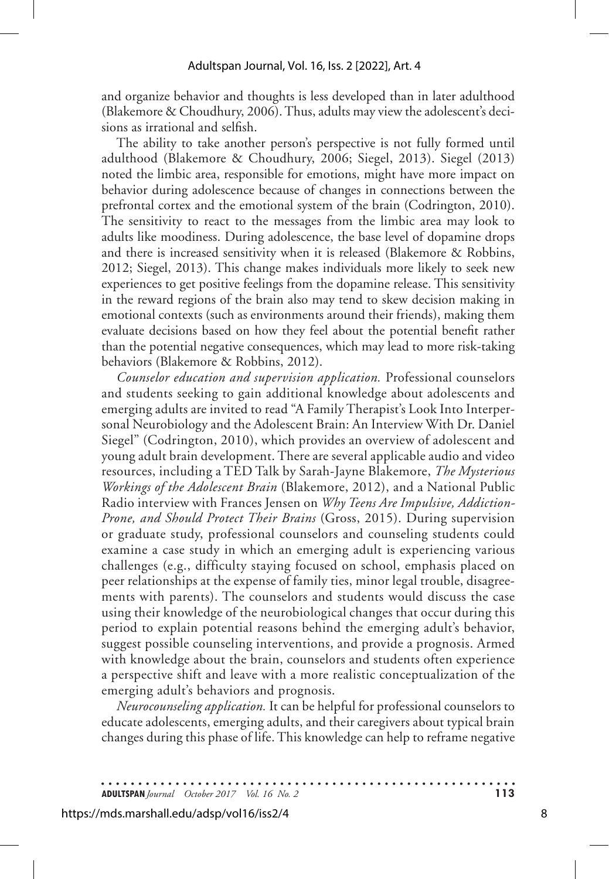and organize behavior and thoughts is less developed than in later adulthood (Blakemore & Choudhury, 2006). Thus, adults may view the adolescent's decisions as irrational and selfish.

The ability to take another person's perspective is not fully formed until adulthood (Blakemore & Choudhury, 2006; Siegel, 2013). Siegel (2013) noted the limbic area, responsible for emotions, might have more impact on behavior during adolescence because of changes in connections between the prefrontal cortex and the emotional system of the brain (Codrington, 2010). The sensitivity to react to the messages from the limbic area may look to adults like moodiness. During adolescence, the base level of dopamine drops and there is increased sensitivity when it is released (Blakemore & Robbins, 2012; Siegel, 2013). This change makes individuals more likely to seek new experiences to get positive feelings from the dopamine release. This sensitivity in the reward regions of the brain also may tend to skew decision making in emotional contexts (such as environments around their friends), making them evaluate decisions based on how they feel about the potential benefit rather than the potential negative consequences, which may lead to more risk-taking behaviors (Blakemore & Robbins, 2012).

*Counselor education and supervision application.* Professional counselors and students seeking to gain additional knowledge about adolescents and emerging adults are invited to read "A Family Therapist's Look Into Interpersonal Neurobiology and the Adolescent Brain: An Interview With Dr. Daniel Siegel" (Codrington, 2010), which provides an overview of adolescent and young adult brain development. There are several applicable audio and video resources, including a TED Talk by Sarah-Jayne Blakemore, *The Mysterious Workings of the Adolescent Brain* (Blakemore, 2012), and a National Public Radio interview with Frances Jensen on *Why Teens Are Impulsive, Addiction-Prone, and Should Protect Their Brains* (Gross, 2015). During supervision or graduate study, professional counselors and counseling students could examine a case study in which an emerging adult is experiencing various challenges (e.g., difficulty staying focused on school, emphasis placed on peer relationships at the expense of family ties, minor legal trouble, disagreements with parents). The counselors and students would discuss the case using their knowledge of the neurobiological changes that occur during this period to explain potential reasons behind the emerging adult's behavior, suggest possible counseling interventions, and provide a prognosis. Armed with knowledge about the brain, counselors and students often experience a perspective shift and leave with a more realistic conceptualization of the emerging adult's behaviors and prognosis.

*Neurocounseling application.* It can be helpful for professional counselors to educate adolescents, emerging adults, and their caregivers about typical brain changes during this phase of life. This knowledge can help to reframe negative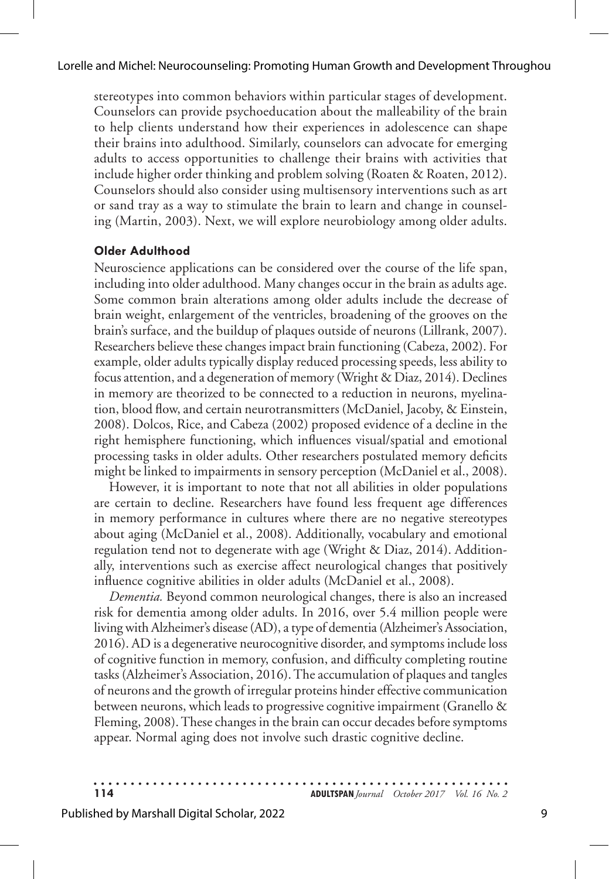stereotypes into common behaviors within particular stages of development. Counselors can provide psychoeducation about the malleability of the brain to help clients understand how their experiences in adolescence can shape their brains into adulthood. Similarly, counselors can advocate for emerging adults to access opportunities to challenge their brains with activities that include higher order thinking and problem solving (Roaten & Roaten, 2012). Counselors should also consider using multisensory interventions such as art or sand tray as a way to stimulate the brain to learn and change in counseling (Martin, 2003). Next, we will explore neurobiology among older adults.

#### **Older Adulthood**

Neuroscience applications can be considered over the course of the life span, including into older adulthood. Many changes occur in the brain as adults age. Some common brain alterations among older adults include the decrease of brain weight, enlargement of the ventricles, broadening of the grooves on the brain's surface, and the buildup of plaques outside of neurons (Lillrank, 2007). Researchers believe these changes impact brain functioning (Cabeza, 2002). For example, older adults typically display reduced processing speeds, less ability to focus attention, and a degeneration of memory (Wright & Diaz, 2014). Declines in memory are theorized to be connected to a reduction in neurons, myelination, blood flow, and certain neurotransmitters (McDaniel, Jacoby, & Einstein, 2008). Dolcos, Rice, and Cabeza (2002) proposed evidence of a decline in the right hemisphere functioning, which influences visual/spatial and emotional processing tasks in older adults. Other researchers postulated memory deficits might be linked to impairments in sensory perception (McDaniel et al., 2008).

However, it is important to note that not all abilities in older populations are certain to decline. Researchers have found less frequent age differences in memory performance in cultures where there are no negative stereotypes about aging (McDaniel et al., 2008). Additionally, vocabulary and emotional regulation tend not to degenerate with age (Wright & Diaz, 2014). Additionally, interventions such as exercise affect neurological changes that positively influence cognitive abilities in older adults (McDaniel et al., 2008).

*Dementia.* Beyond common neurological changes, there is also an increased risk for dementia among older adults. In 2016, over 5.4 million people were living with Alzheimer's disease (AD), a type of dementia (Alzheimer's Association, 2016). AD is a degenerative neurocognitive disorder, and symptoms include loss of cognitive function in memory, confusion, and difficulty completing routine tasks (Alzheimer's Association, 2016). The accumulation of plaques and tangles of neurons and the growth of irregular proteins hinder effective communication between neurons, which leads to progressive cognitive impairment (Granello & Fleming, 2008). These changes in the brain can occur decades before symptoms appear. Normal aging does not involve such drastic cognitive decline.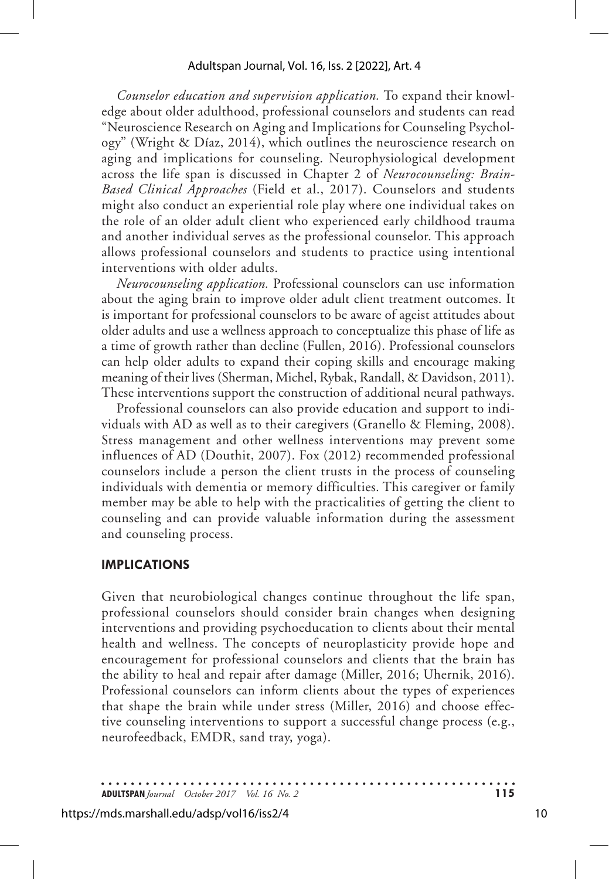*Counselor education and supervision application.* To expand their knowledge about older adulthood, professional counselors and students can read "Neuroscience Research on Aging and Implications for Counseling Psychology" (Wright & Díaz, 2014), which outlines the neuroscience research on aging and implications for counseling. Neurophysiological development across the life span is discussed in Chapter 2 of *Neurocounseling: Brain-Based Clinical Approaches* (Field et al., 2017). Counselors and students might also conduct an experiential role play where one individual takes on the role of an older adult client who experienced early childhood trauma and another individual serves as the professional counselor. This approach allows professional counselors and students to practice using intentional interventions with older adults.

*Neurocounseling application.* Professional counselors can use information about the aging brain to improve older adult client treatment outcomes. It is important for professional counselors to be aware of ageist attitudes about older adults and use a wellness approach to conceptualize this phase of life as a time of growth rather than decline (Fullen, 2016). Professional counselors can help older adults to expand their coping skills and encourage making meaning of their lives (Sherman, Michel, Rybak, Randall, & Davidson, 2011). These interventions support the construction of additional neural pathways.

Professional counselors can also provide education and support to individuals with AD as well as to their caregivers (Granello & Fleming, 2008). Stress management and other wellness interventions may prevent some influences of AD (Douthit, 2007). Fox (2012) recommended professional counselors include a person the client trusts in the process of counseling individuals with dementia or memory difficulties. This caregiver or family member may be able to help with the practicalities of getting the client to counseling and can provide valuable information during the assessment and counseling process.

#### **IMPLICATIONS**

Given that neurobiological changes continue throughout the life span, professional counselors should consider brain changes when designing interventions and providing psychoeducation to clients about their mental health and wellness. The concepts of neuroplasticity provide hope and encouragement for professional counselors and clients that the brain has the ability to heal and repair after damage (Miller, 2016; Uhernik, 2016). Professional counselors can inform clients about the types of experiences that shape the brain while under stress (Miller, 2016) and choose effective counseling interventions to support a successful change process (e.g., neurofeedback, EMDR, sand tray, yoga).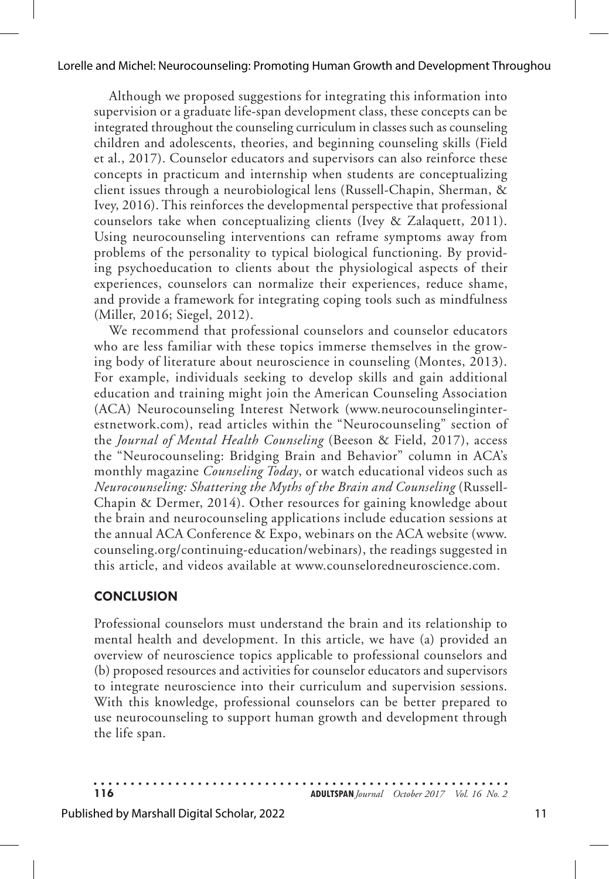Although we proposed suggestions for integrating this information into supervision or a graduate life-span development class, these concepts can be integrated throughout the counseling curriculum in classes such as counseling children and adolescents, theories, and beginning counseling skills (Field et al., 2017). Counselor educators and supervisors can also reinforce these concepts in practicum and internship when students are conceptualizing client issues through a neurobiological lens (Russell-Chapin, Sherman, & Ivey, 2016). This reinforces the developmental perspective that professional counselors take when conceptualizing clients (Ivey & Zalaquett, 2011). Using neurocounseling interventions can reframe symptoms away from problems of the personality to typical biological functioning. By providing psychoeducation to clients about the physiological aspects of their experiences, counselors can normalize their experiences, reduce shame, and provide a framework for integrating coping tools such as mindfulness (Miller, 2016; Siegel, 2012).

We recommend that professional counselors and counselor educators who are less familiar with these topics immerse themselves in the growing body of literature about neuroscience in counseling (Montes, 2013). For example, individuals seeking to develop skills and gain additional education and training might join the American Counseling Association (ACA) Neurocounseling Interest Network (www.neurocounselinginterestnetwork.com), read articles within the "Neurocounseling" section of the *Journal of Mental Health Counseling* (Beeson & Field, 2017), access the "Neurocounseling: Bridging Brain and Behavior" column in ACA's monthly magazine *Counseling Today*, or watch educational videos such as *Neurocounseling: Shattering the Myths of the Brain and Counseling* (Russell-Chapin & Dermer, 2014). Other resources for gaining knowledge about the brain and neurocounseling applications include education sessions at the annual ACA Conference & Expo, webinars on the ACA website (www. counseling.org/continuing-education/webinars), the readings suggested in this article, and videos available at www.counseloredneuroscience.com.

### **CONCLUSION**

Professional counselors must understand the brain and its relationship to mental health and development. In this article, we have (a) provided an overview of neuroscience topics applicable to professional counselors and (b) proposed resources and activities for counselor educators and supervisors to integrate neuroscience into their curriculum and supervision sessions. With this knowledge, professional counselors can be better prepared to use neurocounseling to support human growth and development through the life span.

**116 ADULTSPAN***Journal October 2017 Vol. 16 No. 2*

#### Published by Marshall Digital Scholar, 2022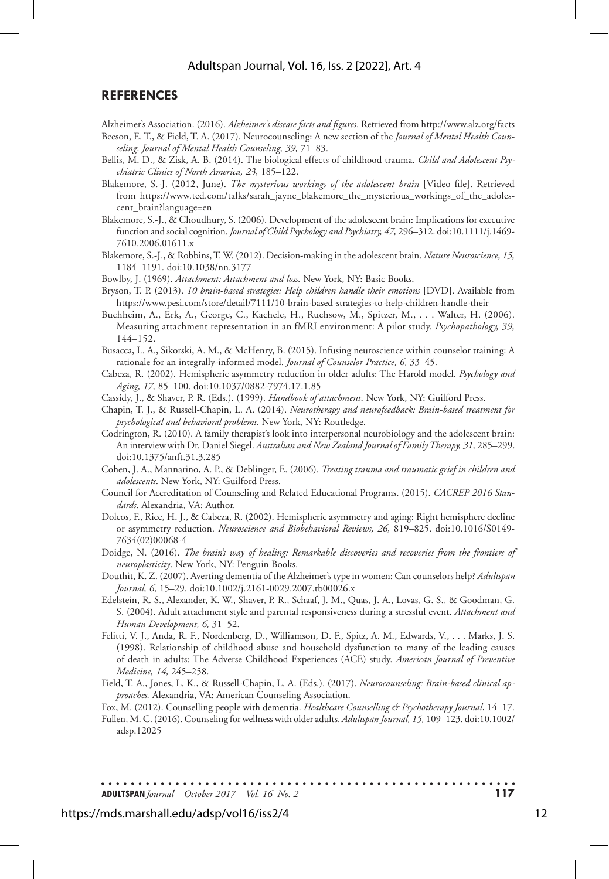#### **REFERENCES**

Alzheimer's Association. (2016). *Alzheimer's disease facts and figures*. Retrieved from http://www.alz.org/facts

- Beeson, E. T., & Field, T. A. (2017). Neurocounseling: A new section of the *Journal of Mental Health Counseling*. *Journal of Mental Health Counseling, 39,* 71–83.
- Bellis, M. D., & Zisk, A. B. (2014). The biological effects of childhood trauma. *Child and Adolescent Psychiatric Clinics of North America, 23,* 185–122.
- Blakemore, S.-J. (2012, June). *The mysterious workings of the adolescent brain* [Video file]. Retrieved from https://www.ted.com/talks/sarah\_jayne\_blakemore\_the\_mysterious\_workings\_of\_the\_adolescent\_brain?language=en
- Blakemore, S.-J., & Choudhury, S. (2006). Development of the adolescent brain: Implications for executive function and social cognition. *Journal of Child Psychology and Psychiatry, 47,* 296–312. doi:10.1111/j.1469- 7610.2006.01611.x
- Blakemore, S.-J., & Robbins, T. W. (2012). Decision-making in the adolescent brain. *Nature Neuroscience, 15,* 1184–1191. doi:10.1038/nn.3177

Bowlby, J. (1969). *Attachment: Attachment and loss.* New York, NY: Basic Books.

- Bryson, T. P. (2013). *10 brain-based strategies: Help children handle their emotions* [DVD]. Available from https://www.pesi.com/store/detail/7111/10-brain-based-strategies-to-help-children-handle-their
- Buchheim, A., Erk, A., George, C., Kachele, H., Ruchsow, M., Spitzer, M., . . . Walter, H. (2006). Measuring attachment representation in an fMRI environment: A pilot study. *Psychopathology, 39,* 144–152.
- Busacca, L. A., Sikorski, A. M., & McHenry, B. (2015). Infusing neuroscience within counselor training: A rationale for an integrally-informed model. *Journal of Counselor Practice, 6,* 33–45.
- Cabeza, R. (2002). Hemispheric asymmetry reduction in older adults: The Harold model. *Psychology and Aging, 17,* 85–100. doi:10.1037/0882-7974.17.1.85
- Cassidy, J., & Shaver, P. R. (Eds.). (1999). *Handbook of attachment*. New York, NY: Guilford Press.
- Chapin, T. J., & Russell-Chapin, L. A. (2014). *Neurotherapy and neurofeedback: Brain-based treatment for psychological and behavioral problems*. New York, NY: Routledge.
- Codrington, R. (2010). A family therapist's look into interpersonal neurobiology and the adolescent brain: An interview with Dr. Daniel Siegel. *Australian and New Zealand Journal of Family Therapy, 31,* 285–299. doi:10.1375/anft.31.3.285
- Cohen, J. A., Mannarino, A. P., & Deblinger, E. (2006). *Treating trauma and traumatic grief in children and adolescents*. New York, NY: Guilford Press.
- Council for Accreditation of Counseling and Related Educational Programs. (2015). *CACREP 2016 Standards*. Alexandria, VA: Author.
- Dolcos, F., Rice, H. J., & Cabeza, R. (2002). Hemispheric asymmetry and aging: Right hemisphere decline or asymmetry reduction. *Neuroscience and Biobehavioral Reviews, 26,* 819–825. doi:10.1016/S0149- 7634(02)00068-4
- Doidge, N. (2016). *The brain's way of healing: Remarkable discoveries and recoveries from the frontiers of neuroplasticity*. New York, NY: Penguin Books.
- Douthit, K. Z. (2007). Averting dementia of the Alzheimer's type in women: Can counselors help? *Adultspan Journal, 6,* 15–29. doi:10.1002/j.2161-0029.2007.tb00026.x
- Edelstein, R. S., Alexander, K. W., Shaver, P. R., Schaaf, J. M., Quas, J. A., Lovas, G. S., & Goodman, G. S. (2004). Adult attachment style and parental responsiveness during a stressful event. *Attachment and Human Development, 6,* 31–52.
- Felitti, V. J., Anda, R. F., Nordenberg, D., Williamson, D. F., Spitz, A. M., Edwards, V., . . . Marks, J. S. (1998). Relationship of childhood abuse and household dysfunction to many of the leading causes of death in adults: The Adverse Childhood Experiences (ACE) study. *American Journal of Preventive Medicine, 14,* 245–258.
- Field, T. A., Jones, L. K., & Russell-Chapin, L. A. (Eds.). (2017). *Neurocounseling: Brain-based clinical approaches.* Alexandria, VA: American Counseling Association.

Fox, M. (2012). Counselling people with dementia. *Healthcare Counselling & Psychotherapy Journal*, 14–17.

Fullen, M. C. (2016). Counseling for wellness with older adults. *Adultspan Journal, 15,* 109–123. doi:10.1002/ adsp.12025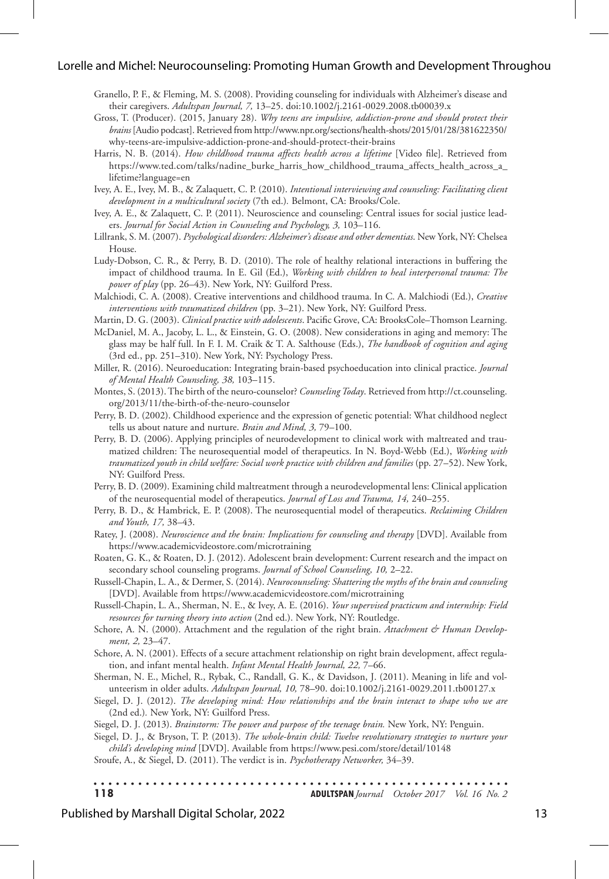#### Lorelle and Michel: Neurocounseling: Promoting Human Growth and Development Throughou

- Granello, P. F., & Fleming, M. S. (2008). Providing counseling for individuals with Alzheimer's disease and their caregivers. *Adultspan Journal, 7,* 13–25. doi:10.1002/j.2161-0029.2008.tb00039.x
- Gross, T. (Producer). (2015, January 28). *Why teens are impulsive, addiction-prone and should protect their brains* [Audio podcast]. Retrieved from http://www.npr.org/sections/health-shots/2015/01/28/381622350/ why-teens-are-impulsive-addiction-prone-and-should-protect-their-brains
- Harris, N. B. (2014). *How childhood trauma affects health across a lifetime* [Video file]. Retrieved from https://www.ted.com/talks/nadine\_burke\_harris\_how\_childhood\_trauma\_affects\_health\_across\_a\_ lifetime?language=en
- Ivey, A. E., Ivey, M. B., & Zalaquett, C. P. (2010). *Intentional interviewing and counseling: Facilitating client development in a multicultural society* (7th ed.)*.* Belmont, CA: Brooks/Cole.
- Ivey, A. E., & Zalaquett, C. P. (2011). Neuroscience and counseling: Central issues for social justice leaders. *Journal for Social Action in Counseling and Psychology, 3,* 103–116.
- Lillrank, S. M. (2007). *Psychological disorders: Alzheimer's disease and other dementias*. New York, NY: Chelsea House.
- Ludy-Dobson, C. R., & Perry, B. D. (2010). The role of healthy relational interactions in buffering the impact of childhood trauma. In E. Gil (Ed.), *Working with children to heal interpersonal trauma: The power of play* (pp. 26–43). New York, NY: Guilford Press.
- Malchiodi, C. A. (2008). Creative interventions and childhood trauma. In C. A. Malchiodi (Ed.), *Creative interventions with traumatized children* (pp. 3–21). New York, NY: Guilford Press.
- Martin, D. G. (2003). *Clinical practice with adolescents*. Pacific Grove, CA: BrooksCole–Thomson Learning.
- McDaniel, M. A., Jacoby, L. L., & Einstein, G. O. (2008). New considerations in aging and memory: The glass may be half full. In F. I. M. Craik & T. A. Salthouse (Eds.), *The handbook of cognition and aging*  (3rd ed., pp. 251–310). New York, NY: Psychology Press.
- Miller, R. (2016). Neuroeducation: Integrating brain-based psychoeducation into clinical practice. *Journal of Mental Health Counseling, 38,* 103–115.
- Montes, S. (2013). The birth of the neuro-counselor? *Counseling Today*. Retrieved from http://ct.counseling. org/2013/11/the-birth-of-the-neuro-counselor
- Perry, B. D. (2002). Childhood experience and the expression of genetic potential: What childhood neglect tells us about nature and nurture. *Brain and Mind, 3,* 79–100.
- Perry, B. D. (2006). Applying principles of neurodevelopment to clinical work with maltreated and traumatized children: The neurosequential model of therapeutics. In N. Boyd-Webb (Ed.), *Working with traumatized youth in child welfare: Social work practice with children and families* (pp. 27–52). New York, NY: Guilford Press.
- Perry, B. D. (2009). Examining child maltreatment through a neurodevelopmental lens: Clinical application of the neurosequential model of therapeutics. *Journal of Loss and Trauma, 14,* 240–255.
- Perry, B. D., & Hambrick, E. P. (2008). The neurosequential model of therapeutics. *Reclaiming Children and Youth, 17,* 38–43.
- Ratey, J. (2008). *Neuroscience and the brain: Implications for counseling and therapy* [DVD]. Available from https://www.academicvideostore.com/microtraining
- Roaten, G. K., & Roaten, D. J. (2012). Adolescent brain development: Current research and the impact on secondary school counseling programs. *Journal of School Counseling, 10,* 2–22.

Russell-Chapin, L. A., & Dermer, S. (2014). *Neurocounseling: Shattering the myths of the brain and counseling* [DVD]. Available from https://www.academicvideostore.com/microtraining

Russell-Chapin, L. A., Sherman, N. E., & Ivey, A. E. (2016). *Your supervised practicum and internship: Field resources for turning theory into action* (2nd ed.). New York, NY: Routledge.

Schore, A. N. (2000). Attachment and the regulation of the right brain. Attachment & Human Develop*ment, 2,* 23–47.

Schore, A. N. (2001). Effects of a secure attachment relationship on right brain development, affect regulation, and infant mental health. *Infant Mental Health Journal, 22,* 7–66.

- Sherman, N. E., Michel, R., Rybak, C., Randall, G. K., & Davidson, J. (2011). Meaning in life and volunteerism in older adults. *Adultspan Journal, 10,* 78–90. doi:10.1002/j.2161-0029.2011.tb00127.x
- Siegel, D. J. (2012). *The developing mind: How relationships and the brain interact to shape who we are*  (2nd ed.)*.* New York, NY: Guilford Press.

Siegel, D. J. (2013). *Brainstorm: The power and purpose of the teenage brain.* New York, NY: Penguin.

Siegel, D. J., & Bryson, T. P. (2013). *The whole-brain child: Twelve revolutionary strategies to nurture your child's developing mind* [DVD]. Available from https://www.pesi.com/store/detail/10148 Sroufe, A., & Siegel, D. (2011). The verdict is in. *Psychotherapy Networker,* 34–39.

. . . . . . . . . . **118 ADULTSPAN***Journal October 2017 Vol. 16 No. 2*

#### Published by Marshall Digital Scholar, 2022